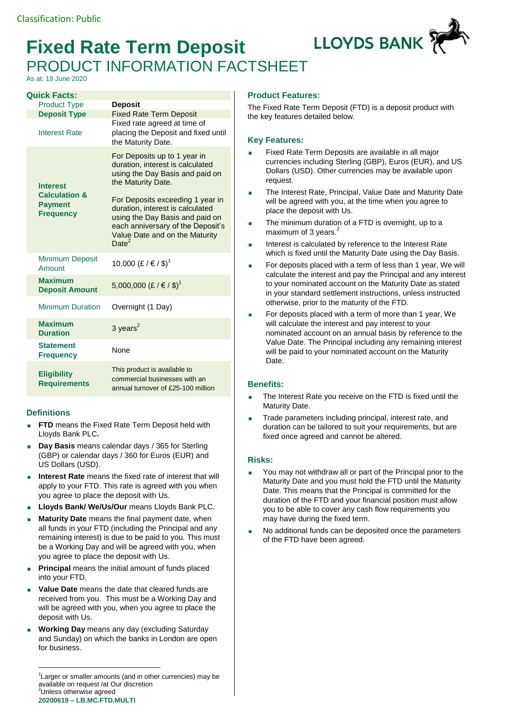## **Fixed Rate Term Deposit** PRODUCT INFORMATION FACTSHEET

As at: 19 June 2020

| <b>Quick Facts:</b>                                                               |                                                                                                                                                                                                     |
|-----------------------------------------------------------------------------------|-----------------------------------------------------------------------------------------------------------------------------------------------------------------------------------------------------|
| <b>Product Type</b>                                                               | <b>Deposit</b>                                                                                                                                                                                      |
| <b>Deposit Type</b>                                                               | <b>Fixed Rate Term Deposit</b><br>Fixed rate agreed at time of                                                                                                                                      |
| <b>Interest Rate</b>                                                              | placing the Deposit and fixed until<br>the Maturity Date.                                                                                                                                           |
| <b>Interest</b><br><b>Calculation &amp;</b><br><b>Payment</b><br><b>Frequency</b> | For Deposits up to 1 year in<br>duration, interest is calculated<br>using the Day Basis and paid on<br>the Maturity Date.                                                                           |
|                                                                                   | For Deposits exceeding 1 year in<br>duration, interest is calculated<br>using the Day Basis and paid on<br>each anniversary of the Deposit's<br>Value Date and on the Maturity<br>Date <sup>2</sup> |
| <b>Minimum Deposit</b><br>Amount                                                  | 10,000 (£ / € / \$) <sup>1</sup>                                                                                                                                                                    |
| <b>Maximum</b><br><b>Deposit Amount</b>                                           | 5,000,000 (£ / € / \$) <sup>1</sup>                                                                                                                                                                 |
| <b>Minimum Duration</b>                                                           | Overnight (1 Day)                                                                                                                                                                                   |
| <b>Maximum</b><br><b>Duration</b>                                                 | 3 years $^2$                                                                                                                                                                                        |
| <b>Statement</b><br><b>Frequency</b>                                              | None                                                                                                                                                                                                |
| <b>Eligibility</b><br><b>Requirements</b>                                         | This product is available to<br>commercial businesses with an<br>annual turnover of £25-100 million                                                                                                 |

## **Definitions**

<u>.</u>

- **FTD** means the Fixed Rate Term Deposit held with Lloyds Bank PLC**.**
- **Day Basis** means calendar days / 365 for Sterling (GBP) or calendar days / 360 for Euros (EUR) and US Dollars (USD).
- **Interest Rate** means the fixed rate of interest that will apply to your FTD. This rate is agreed with you when you agree to place the deposit with Us.
- **Lloyds Bank/ We/Us/Our** means Lloyds Bank PLC.
- **Maturity Date** means the final payment date, when all funds in your FTD (including the Principal and any remaining interest) is due to be paid to you. This must be a Working Day and will be agreed with you, when you agree to place the deposit with Us.
- **Principal** means the initial amount of funds placed into your FTD.
- **Value Date** means the date that cleared funds are received from you. This must be a Working Day and will be agreed with you, when you agree to place the deposit with Us.
- **Working Day** means any day (excluding Saturday and Sunday) on which the banks in London are open for business.

**20200619 – LB.MC.FTD.MULTI** <sup>1</sup> Larger or smaller amounts (and in other currencies) may be available on request /at Our discretion <sup>2</sup>Unless otherwise agreed

## **Product Features:**

The Fixed Rate Term Deposit (FTD) is a deposit product with the key features detailed below.

## **Key Features:**

- Fixed Rate Term Deposits are available in all major currencies including Sterling (GBP), Euros (EUR), and US Dollars (USD). Other currencies may be available upon request.
- The Interest Rate, Principal, Value Date and Maturity Date will be agreed with you, at the time when you agree to place the deposit with Us.
- The minimum duration of a FTD is overnight, up to a maximum of 3 years.<sup>2</sup>
- Interest is calculated by reference to the Interest Rate which is fixed until the Maturity Date using the Day Basis.
- For deposits placed with a term of less than 1 year, We will calculate the interest and pay the Principal and any interest to your nominated account on the Maturity Date as stated in your standard settlement instructions, unless instructed otherwise, prior to the maturity of the FTD.
- For deposits placed with a term of more than 1 year, We will calculate the interest and pay interest to your nominated account on an annual basis by reference to the Value Date. The Principal including any remaining interest will be paid to your nominated account on the Maturity Date.

## **Benefits:**

- The Interest Rate you receive on the FTD is fixed until the Maturity Date.
- Trade parameters including principal, interest rate, and duration can be tailored to suit your requirements, but are fixed once agreed and cannot be altered.

## **Risks:**

- You may not withdraw all or part of the Principal prior to the Maturity Date and you must hold the FTD until the Maturity Date. This means that the Principal is committed for the duration of the FTD and your financial position must allow you to be able to cover any cash flow requirements you may have during the fixed term.
- No additional funds can be deposited once the parameters of the FTD have been agreed.